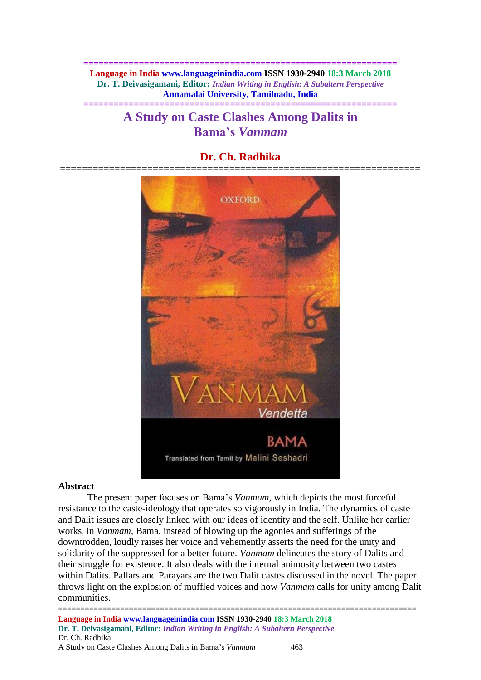**============================================================== Language in India www.languageinindia.com ISSN 1930-2940 18:3 March 2018 Dr. T. Deivasigamani, Editor:** *Indian Writing in English: A Subaltern Perspective* **Annamalai University, Tamilnadu, India ==============================================================**

# **A Study on Caste Clashes Among Dalits in Bama's** *Vanmam*

# **Dr. Ch. Radhika**



#### **Abstract**

The present paper focuses on Bama's *Vanmam*, which depicts the most forceful resistance to the caste-ideology that operates so vigorously in India. The dynamics of caste and Dalit issues are closely linked with our ideas of identity and the self. Unlike her earlier works, in *Vanmam*, Bama, instead of blowing up the agonies and sufferings of the downtrodden, loudly raises her voice and vehemently asserts the need for the unity and solidarity of the suppressed for a better future*. Vanmam* delineates the story of Dalits and their struggle for existence. It also deals with the internal animosity between two castes within Dalits. Pallars and Parayars are the two Dalit castes discussed in the novel. The paper throws light on the explosion of muffled voices and how *Vanmam* calls for unity among Dalit communities.

================================================================================= **Language in India www.languageinindia.com ISSN 1930-2940 18:3 March 2018 Dr. T. Deivasigamani, Editor:** *Indian Writing in English: A Subaltern Perspective* Dr. Ch. Radhika A Study on Caste Clashes Among Dalits in Bama's *Vanmam* 463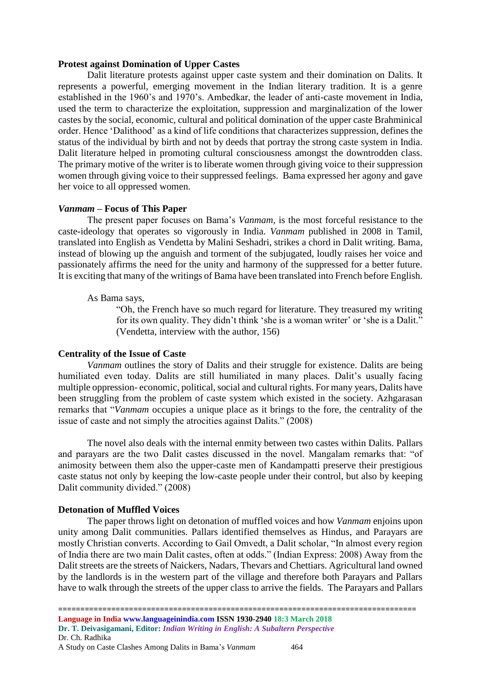#### **Protest against Domination of Upper Castes**

Dalit literature protests against upper caste system and their domination on Dalits. It represents a powerful, emerging movement in the Indian literary tradition. It is a genre established in the 1960's and 1970's. Ambedkar, the leader of anti-caste movement in India, used the term to characterize the exploitation, suppression and marginalization of the lower castes by the social, economic, cultural and political domination of the upper caste Brahminical order. Hence 'Dalithood' as a kind of life conditions that characterizes suppression, defines the status of the individual by birth and not by deeds that portray the strong caste system in India. Dalit literature helped in promoting cultural consciousness amongst the downtrodden class. The primary motive of the writer is to liberate women through giving voice to their suppression women through giving voice to their suppressed feelings. Bama expressed her agony and gave her voice to all oppressed women.

#### *Vanmam* **– Focus of This Paper**

The present paper focuses on Bama's *Vanmam,* is the most forceful resistance to the caste-ideology that operates so vigorously in India. *Vanmam* published in 2008 in Tamil, translated into English as Vendetta by Malini Seshadri, strikes a chord in Dalit writing. Bama, instead of blowing up the anguish and torment of the subjugated, loudly raises her voice and passionately affirms the need for the unity and harmony of the suppressed for a better future. It is exciting that many of the writings of Bama have been translated into French before English.

#### As Bama says,

"Oh, the French have so much regard for literature. They treasured my writing for its own quality. They didn't think 'she is a woman writer' or 'she is a Dalit." (Vendetta, interview with the author, 156)

#### **Centrality of the Issue of Caste**

*Vanmam* outlines the story of Dalits and their struggle for existence. Dalits are being humiliated even today. Dalits are still humiliated in many places. Dalit's usually facing multiple oppression- economic, political, social and cultural rights. For many years, Dalits have been struggling from the problem of caste system which existed in the society. Azhgarasan remarks that "*Vanmam* occupies a unique place as it brings to the fore, the centrality of the issue of caste and not simply the atrocities against Dalits." (2008)

The novel also deals with the internal enmity between two castes within Dalits. Pallars and parayars are the two Dalit castes discussed in the novel. Mangalam remarks that: "of animosity between them also the upper-caste men of Kandampatti preserve their prestigious caste status not only by keeping the low-caste people under their control, but also by keeping Dalit community divided." (2008)

# **Detonation of Muffled Voices**

The paper throws light on detonation of muffled voices and how *Vanmam* enjoins upon unity among Dalit communities. Pallars identified themselves as Hindus, and Parayars are mostly Christian converts. According to Gail Omvedt, a Dalit scholar, "In almost every region of India there are two main Dalit castes, often at odds." (Indian Express: 2008) Away from the Dalit streets are the streets of Naickers, Nadars, Thevars and Chettiars. Agricultural land owned by the landlords is in the western part of the village and therefore both Parayars and Pallars have to walk through the streets of the upper class to arrive the fields. The Parayars and Pallars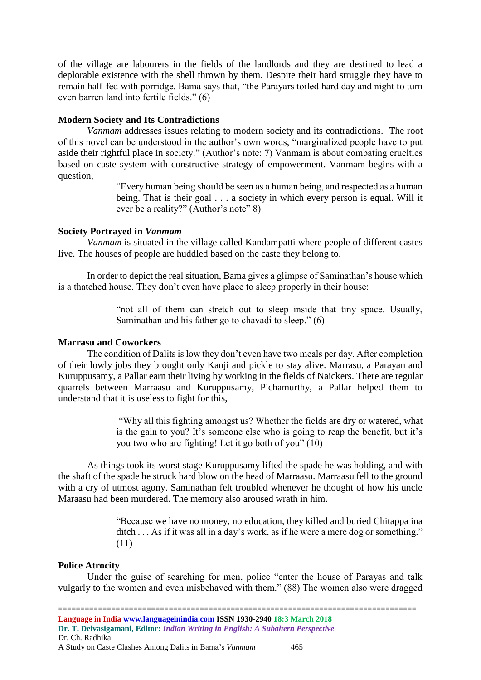of the village are labourers in the fields of the landlords and they are destined to lead a deplorable existence with the shell thrown by them. Despite their hard struggle they have to remain half-fed with porridge. Bama says that, "the Parayars toiled hard day and night to turn even barren land into fertile fields." (6)

#### **Modern Society and Its Contradictions**

*Vanmam* addresses issues relating to modern society and its contradictions. The root of this novel can be understood in the author's own words, "marginalized people have to put aside their rightful place in society." (Author's note: 7) Vanmam is about combating cruelties based on caste system with constructive strategy of empowerment. Vanmam begins with a question,

> "Every human being should be seen as a human being, and respected as a human being. That is their goal . . . a society in which every person is equal. Will it ever be a reality?" (Author's note" 8)

#### **Society Portrayed in** *Vanmam*

*Vanmam* is situated in the village called Kandampatti where people of different castes live. The houses of people are huddled based on the caste they belong to.

In order to depict the real situation, Bama gives a glimpse of Saminathan's house which is a thatched house. They don't even have place to sleep properly in their house:

> "not all of them can stretch out to sleep inside that tiny space. Usually, Saminathan and his father go to chavadi to sleep." (6)

#### **Marrasu and Coworkers**

The condition of Dalits is low they don't even have two meals per day. After completion of their lowly jobs they brought only Kanji and pickle to stay alive. Marrasu, a Parayan and Kuruppusamy, a Pallar earn their living by working in the fields of Naickers. There are regular quarrels between Marraasu and Kuruppusamy, Pichamurthy, a Pallar helped them to understand that it is useless to fight for this,

> "Why all this fighting amongst us? Whether the fields are dry or watered, what is the gain to you? It's someone else who is going to reap the benefit, but it's you two who are fighting! Let it go both of you" (10)

As things took its worst stage Kuruppusamy lifted the spade he was holding, and with the shaft of the spade he struck hard blow on the head of Marraasu. Marraasu fell to the ground with a cry of utmost agony. Saminathan felt troubled whenever he thought of how his uncle Maraasu had been murdered. The memory also aroused wrath in him.

> "Because we have no money, no education, they killed and buried Chitappa ina ditch . . . As if it was all in a day's work, as if he were a mere dog or something." (11)

#### **Police Atrocity**

Under the guise of searching for men, police "enter the house of Parayas and talk vulgarly to the women and even misbehaved with them." (88) The women also were dragged

=================================================================================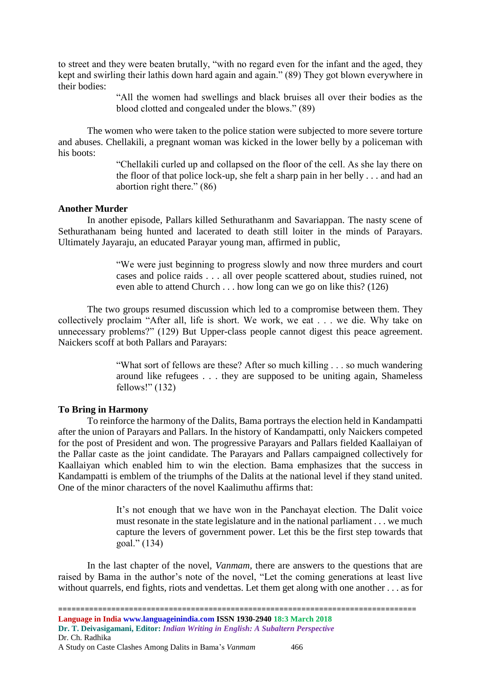to street and they were beaten brutally, "with no regard even for the infant and the aged, they kept and swirling their lathis down hard again and again." (89) They got blown everywhere in their bodies:

> "All the women had swellings and black bruises all over their bodies as the blood clotted and congealed under the blows." (89)

The women who were taken to the police station were subjected to more severe torture and abuses. Chellakili, a pregnant woman was kicked in the lower belly by a policeman with his boots:

> "Chellakili curled up and collapsed on the floor of the cell. As she lay there on the floor of that police lock-up, she felt a sharp pain in her belly . . . and had an abortion right there." (86)

# **Another Murder**

In another episode, Pallars killed Sethurathanm and Savariappan. The nasty scene of Sethurathanam being hunted and lacerated to death still loiter in the minds of Parayars. Ultimately Jayaraju, an educated Parayar young man, affirmed in public,

> "We were just beginning to progress slowly and now three murders and court cases and police raids . . . all over people scattered about, studies ruined, not even able to attend Church . . . how long can we go on like this? (126)

The two groups resumed discussion which led to a compromise between them. They collectively proclaim "After all, life is short. We work, we eat . . . we die. Why take on unnecessary problems?" (129) But Upper-class people cannot digest this peace agreement. Naickers scoff at both Pallars and Parayars:

> "What sort of fellows are these? After so much killing . . . so much wandering around like refugees . . . they are supposed to be uniting again, Shameless fellows!" (132)

# **To Bring in Harmony**

To reinforce the harmony of the Dalits, Bama portrays the election held in Kandampatti after the union of Parayars and Pallars. In the history of Kandampatti, only Naickers competed for the post of President and won. The progressive Parayars and Pallars fielded Kaallaiyan of the Pallar caste as the joint candidate. The Parayars and Pallars campaigned collectively for Kaallaiyan which enabled him to win the election. Bama emphasizes that the success in Kandampatti is emblem of the triumphs of the Dalits at the national level if they stand united. One of the minor characters of the novel Kaalimuthu affirms that:

> It's not enough that we have won in the Panchayat election. The Dalit voice must resonate in the state legislature and in the national parliament . . . we much capture the levers of government power. Let this be the first step towards that goal." (134)

In the last chapter of the novel, *Vanmam*, there are answers to the questions that are raised by Bama in the author's note of the novel, "Let the coming generations at least live without quarrels, end fights, riots and vendettas. Let them get along with one another . . . as for